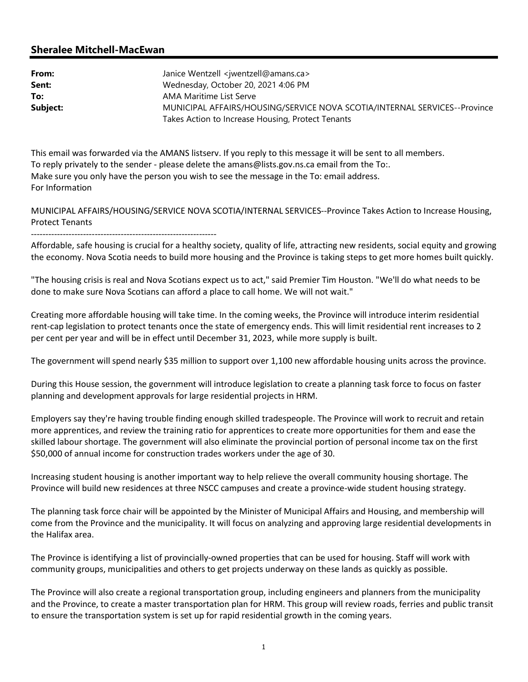## Sheralee Mitchell-MacEwan

| From:    | Janice Wentzell <jwentzell@amans.ca></jwentzell@amans.ca>                 |
|----------|---------------------------------------------------------------------------|
| Sent:    | Wednesday, October 20, 2021 4:06 PM                                       |
| To:      | AMA Maritime List Serve                                                   |
| Subject: | MUNICIPAL AFFAIRS/HOUSING/SERVICE NOVA SCOTIA/INTERNAL SERVICES--Province |
|          | Takes Action to Increase Housing, Protect Tenants                         |

This email was forwarded via the AMANS listserv. If you reply to this message it will be sent to all members. To reply privately to the sender - please delete the amans@lists.gov.ns.ca email from the To:. Make sure you only have the person you wish to see the message in the To: email address. For Information

MUNICIPAL AFFAIRS/HOUSING/SERVICE NOVA SCOTIA/INTERNAL SERVICES--Province Takes Action to Increase Housing, Protect Tenants

----------------------------------------------------------------

Affordable, safe housing is crucial for a healthy society, quality of life, attracting new residents, social equity and growing the economy. Nova Scotia needs to build more housing and the Province is taking steps to get more homes built quickly.

"The housing crisis is real and Nova Scotians expect us to act," said Premier Tim Houston. "We'll do what needs to be done to make sure Nova Scotians can afford a place to call home. We will not wait."

Creating more affordable housing will take time. In the coming weeks, the Province will introduce interim residential rent-cap legislation to protect tenants once the state of emergency ends. This will limit residential rent increases to 2 per cent per year and will be in effect until December 31, 2023, while more supply is built.

The government will spend nearly \$35 million to support over 1,100 new affordable housing units across the province.

During this House session, the government will introduce legislation to create a planning task force to focus on faster planning and development approvals for large residential projects in HRM.

Employers say they're having trouble finding enough skilled tradespeople. The Province will work to recruit and retain more apprentices, and review the training ratio for apprentices to create more opportunities for them and ease the skilled labour shortage. The government will also eliminate the provincial portion of personal income tax on the first \$50,000 of annual income for construction trades workers under the age of 30.

Increasing student housing is another important way to help relieve the overall community housing shortage. The Province will build new residences at three NSCC campuses and create a province-wide student housing strategy.

The planning task force chair will be appointed by the Minister of Municipal Affairs and Housing, and membership will come from the Province and the municipality. It will focus on analyzing and approving large residential developments in the Halifax area.

The Province is identifying a list of provincially-owned properties that can be used for housing. Staff will work with community groups, municipalities and others to get projects underway on these lands as quickly as possible.

The Province will also create a regional transportation group, including engineers and planners from the municipality and the Province, to create a master transportation plan for HRM. This group will review roads, ferries and public transit to ensure the transportation system is set up for rapid residential growth in the coming years.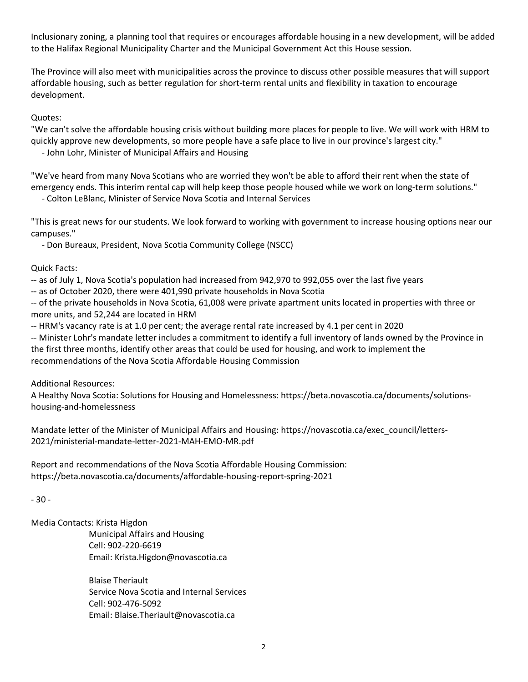Inclusionary zoning, a planning tool that requires or encourages affordable housing in a new development, will be added to the Halifax Regional Municipality Charter and the Municipal Government Act this House session.

The Province will also meet with municipalities across the province to discuss other possible measures that will support affordable housing, such as better regulation for short-term rental units and flexibility in taxation to encourage development.

Quotes:

"We can't solve the affordable housing crisis without building more places for people to live. We will work with HRM to quickly approve new developments, so more people have a safe place to live in our province's largest city."

- John Lohr, Minister of Municipal Affairs and Housing

"We've heard from many Nova Scotians who are worried they won't be able to afford their rent when the state of emergency ends. This interim rental cap will help keep those people housed while we work on long-term solutions."

- Colton LeBlanc, Minister of Service Nova Scotia and Internal Services

"This is great news for our students. We look forward to working with government to increase housing options near our campuses."

- Don Bureaux, President, Nova Scotia Community College (NSCC)

Quick Facts:

-- as of July 1, Nova Scotia's population had increased from 942,970 to 992,055 over the last five years

-- as of October 2020, there were 401,990 private households in Nova Scotia

-- of the private households in Nova Scotia, 61,008 were private apartment units located in properties with three or more units, and 52,244 are located in HRM

-- HRM's vacancy rate is at 1.0 per cent; the average rental rate increased by 4.1 per cent in 2020

-- Minister Lohr's mandate letter includes a commitment to identify a full inventory of lands owned by the Province in the first three months, identify other areas that could be used for housing, and work to implement the recommendations of the Nova Scotia Affordable Housing Commission

Additional Resources:

A Healthy Nova Scotia: Solutions for Housing and Homelessness: https://beta.novascotia.ca/documents/solutionshousing-and-homelessness

Mandate letter of the Minister of Municipal Affairs and Housing: https://novascotia.ca/exec\_council/letters-2021/ministerial-mandate-letter-2021-MAH-EMO-MR.pdf

Report and recommendations of the Nova Scotia Affordable Housing Commission: https://beta.novascotia.ca/documents/affordable-housing-report-spring-2021

- 30 -

Media Contacts: Krista Higdon

 Municipal Affairs and Housing Cell: 902-220-6619 Email: Krista.Higdon@novascotia.ca

 Blaise Theriault Service Nova Scotia and Internal Services Cell: 902-476-5092 Email: Blaise.Theriault@novascotia.ca